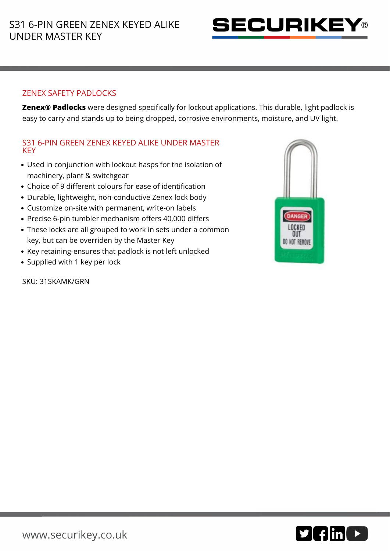

## ZENEX SAFETY PADLOCKS

**Zenex® Padlocks** were designed specifically for lockout applications. This durable, light padlock is easy to carry and stands up to being dropped, corrosive environments, moisture, and UV light.

## S31 6-PIN GREEN ZENEX KEYED ALIKE UNDER MASTER **KEY**

- Used in conjunction with lockout hasps for the isolation of machinery, plant & switchgear
- Choice of 9 different colours for ease of identification
- Durable, lightweight, non-conductive Zenex lock body
- Customize on-site with permanent, write-on labels
- Precise 6-pin tumbler mechanism offers 40,000 differs
- These locks are all grouped to work in sets under a common key, but can be overriden by the Master Key
- Key retaining-ensures that padlock is not left unlocked
- Supplied with 1 key per lock

SKU: 31SKAMK/GRN



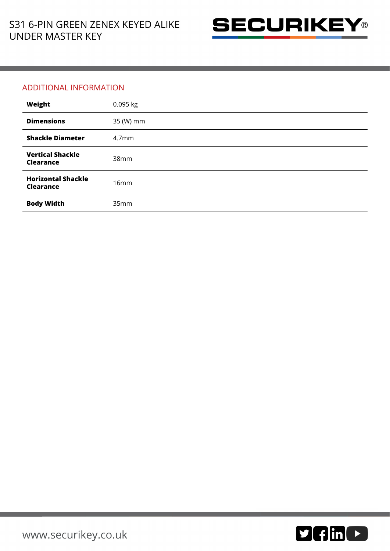

## ADDITIONAL INFORMATION

| Weight                                      | 0.095 kg          |
|---------------------------------------------|-------------------|
| <b>Dimensions</b>                           | 35 (W) mm         |
| <b>Shackle Diameter</b>                     | 4.7 <sub>mm</sub> |
| <b>Vertical Shackle</b><br><b>Clearance</b> | 38mm              |
| <b>Horizontal Shackle</b><br>Clearance      | 16mm              |
| <b>Body Width</b>                           | 35mm              |

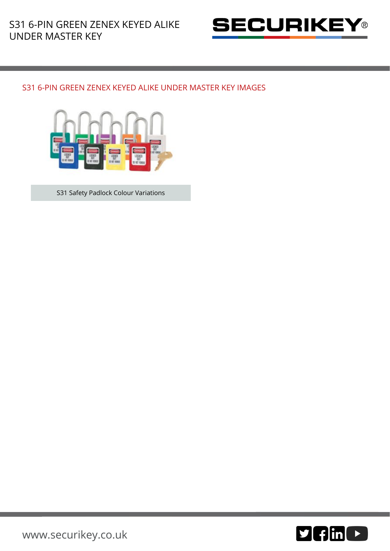

## S31 6-PIN GREEN ZENEX KEYED ALIKE UNDER MASTER KEY IMAGES



S31 Safety Padlock Colour Variations